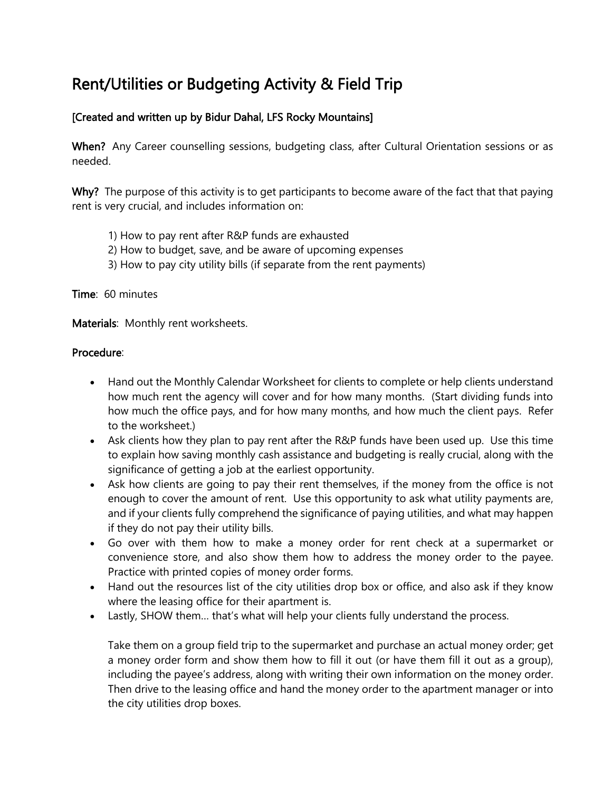## Rent/Utilities or Budgeting Activity & Field Trip

## [Created and written up by Bidur Dahal, LFS Rocky Mountains]

When? Any Career counselling sessions, budgeting class, after Cultural Orientation sessions or as needed.

Why? The purpose of this activity is to get participants to become aware of the fact that that paying rent is very crucial, and includes information on:

- 1) How to pay rent after R&P funds are exhausted
- 2) How to budget, save, and be aware of upcoming expenses
- 3) How to pay city utility bills (if separate from the rent payments)

Time: 60 minutes

Materials: Monthly rent worksheets.

## Procedure:

- Hand out the Monthly Calendar Worksheet for clients to complete or help clients understand how much rent the agency will cover and for how many months. (Start dividing funds into how much the office pays, and for how many months, and how much the client pays. Refer to the worksheet.)
- Ask clients how they plan to pay rent after the R&P funds have been used up. Use this time to explain how saving monthly cash assistance and budgeting is really crucial, along with the significance of getting a job at the earliest opportunity.
- Ask how clients are going to pay their rent themselves, if the money from the office is not enough to cover the amount of rent. Use this opportunity to ask what utility payments are, and if your clients fully comprehend the significance of paying utilities, and what may happen if they do not pay their utility bills.
- Go over with them how to make a money order for rent check at a supermarket or convenience store, and also show them how to address the money order to the payee. Practice with printed copies of money order forms.
- Hand out the resources list of the city utilities drop box or office, and also ask if they know where the leasing office for their apartment is.
- Lastly, SHOW them... that's what will help your clients fully understand the process.

Take them on a group field trip to the supermarket and purchase an actual money order; get a money order form and show them how to fill it out (or have them fill it out as a group), including the payee's address, along with writing their own information on the money order. Then drive to the leasing office and hand the money order to the apartment manager or into the city utilities drop boxes.